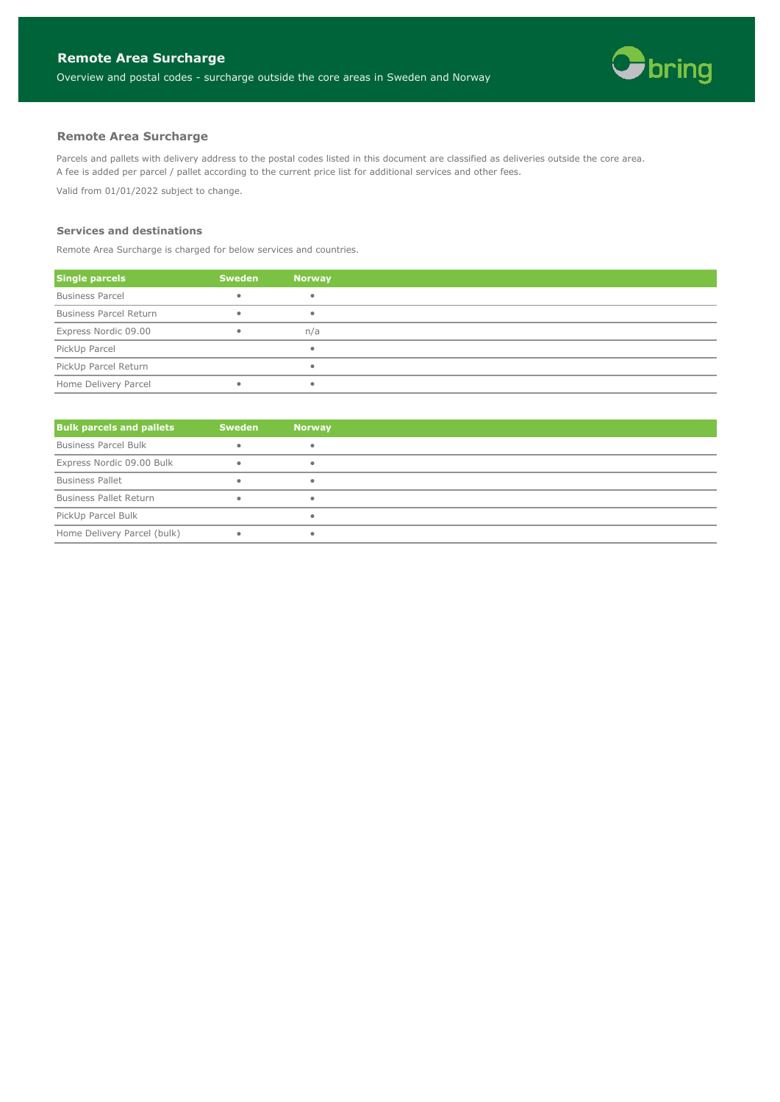

Parcels and pallets with delivery address to the postal codes listed in this document are classified as deliveries outside the core area. A fee is added per parcel / pallet according to the current price list for additional services and other fees.

Valid from 01/01/2022 subject to change.

#### **Services and destinations**

Remote Area Surcharge is charged for below services and countries.

| <b>Single parcels</b>         | <b>Sweden</b> | <b>Norway</b> |
|-------------------------------|---------------|---------------|
| <b>Business Parcel</b>        | $\bullet$     |               |
| <b>Business Parcel Return</b> | ٠             |               |
| Express Nordic 09.00          | $\bullet$     | n/a           |
| PickUp Parcel                 |               |               |
| PickUp Parcel Return          |               |               |
| Home Delivery Parcel          | ٠             |               |

| <b>Bulk parcels and pallets</b> | <b>Sweden</b> | <b>Norway</b> |
|---------------------------------|---------------|---------------|
| <b>Business Parcel Bulk</b>     |               |               |
| Express Nordic 09.00 Bulk       |               |               |
| <b>Business Pallet</b>          |               |               |
| <b>Business Pallet Return</b>   |               |               |
| PickUp Parcel Bulk              |               |               |
| Home Delivery Parcel (bulk)     |               |               |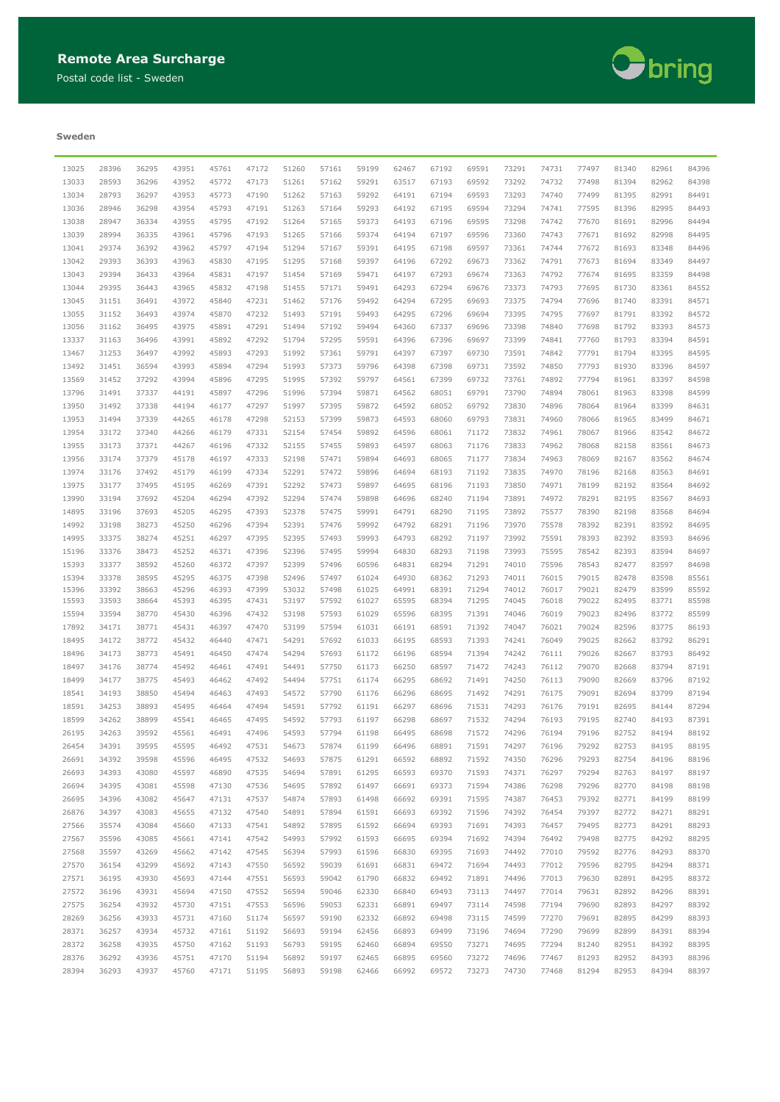Postal code list - Sweden



### **Sweden**

|       |       |       | 43951 |       |       |       |       | 59199 |       | 67192 | 69591 | 73291 |       |       |       |       | 84396 |
|-------|-------|-------|-------|-------|-------|-------|-------|-------|-------|-------|-------|-------|-------|-------|-------|-------|-------|
| 13025 | 28396 | 36295 |       | 45761 | 47172 | 51260 | 57161 |       | 62467 |       |       |       | 74731 | 77497 | 81340 | 82961 |       |
| 13033 | 28593 | 36296 | 43952 | 45772 | 47173 | 51261 | 57162 | 59291 | 63517 | 67193 | 69592 | 73292 | 74732 | 77498 | 81394 | 82962 | 84398 |
| 13034 | 28793 | 36297 | 43953 | 45773 | 47190 | 51262 | 57163 | 59292 | 64191 | 67194 | 69593 | 73293 | 74740 | 77499 | 81395 | 82991 | 84491 |
| 13036 | 28946 | 36298 | 43954 | 45793 | 47191 | 51263 | 57164 | 59293 | 64192 | 67195 | 69594 | 73294 | 74741 | 77595 | 81396 | 82995 | 84493 |
| 13038 | 28947 | 36334 | 43955 | 45795 | 47192 | 51264 | 57165 | 59373 | 64193 | 67196 | 69595 | 73298 | 74742 | 77670 | 81691 | 82996 | 84494 |
| 13039 | 28994 | 36335 | 43961 | 45796 | 47193 | 51265 | 57166 | 59374 | 64194 | 67197 | 69596 | 73360 | 74743 | 77671 | 81692 | 82998 | 84495 |
| 13041 | 29374 | 36392 | 43962 | 45797 | 47194 | 51294 | 57167 | 59391 | 64195 | 67198 | 69597 | 73361 | 74744 | 77672 | 81693 | 83348 | 84496 |
| 13042 | 29393 | 36393 | 43963 | 45830 | 47195 | 51295 | 57168 | 59397 | 64196 | 67292 | 69673 | 73362 | 74791 | 77673 | 81694 | 83349 | 84497 |
| 13043 | 29394 | 36433 | 43964 | 45831 | 47197 | 51454 | 57169 | 59471 | 64197 | 67293 | 69674 | 73363 | 74792 | 77674 | 81695 | 83359 | 84498 |
|       |       |       |       |       |       |       |       |       |       |       |       |       |       |       |       |       |       |
| 13044 | 29395 | 36443 | 43965 | 45832 | 47198 | 51455 | 57171 | 59491 | 64293 | 67294 | 69676 | 73373 | 74793 | 77695 | 81730 | 83361 | 84552 |
| 13045 | 31151 | 36491 | 43972 | 45840 | 47231 | 51462 | 57176 | 59492 | 64294 | 67295 | 69693 | 73375 | 74794 | 77696 | 81740 | 83391 | 84571 |
| 13055 | 31152 | 36493 | 43974 | 45870 | 47232 | 51493 | 57191 | 59493 | 64295 | 67296 | 69694 | 73395 | 74795 | 77697 | 81791 | 83392 | 84572 |
| 13056 | 31162 | 36495 | 43975 | 45891 | 47291 | 51494 | 57192 | 59494 | 64360 | 67337 | 69696 | 73398 | 74840 | 77698 | 81792 | 83393 | 84573 |
| 13337 | 31163 | 36496 | 43991 | 45892 | 47292 | 51794 | 57295 | 59591 | 64396 | 67396 | 69697 | 73399 | 74841 | 77760 | 81793 | 83394 | 84591 |
| 13467 | 31253 | 36497 | 43992 | 45893 | 47293 | 51992 | 57361 | 59791 | 64397 | 67397 | 69730 | 73591 | 74842 | 77791 | 81794 | 83395 | 84595 |
| 13492 | 31451 | 36594 | 43993 | 45894 | 47294 | 51993 | 57373 | 59796 | 64398 | 67398 | 69731 | 73592 | 74850 | 77793 | 81930 | 83396 | 84597 |
| 13569 | 31452 | 37292 | 43994 | 45896 | 47295 | 51995 | 57392 | 59797 | 64561 | 67399 | 69732 | 73761 | 74892 | 77794 | 81961 | 83397 | 84598 |
| 13796 | 31491 | 37337 | 44191 | 45897 | 47296 | 51996 | 57394 | 59871 | 64562 | 68051 | 69791 | 73790 | 74894 | 78061 | 81963 | 83398 | 84599 |
| 13950 | 31492 | 37338 | 44194 | 46177 | 47297 | 51997 | 57395 | 59872 | 64592 | 68052 | 69792 | 73830 | 74896 | 78064 | 81964 | 83399 | 84631 |
| 13953 | 31494 | 37339 | 44265 | 46178 | 47298 | 52153 | 57399 | 59873 | 64593 | 68060 | 69793 | 73831 | 74960 | 78066 | 81965 | 83499 | 84671 |
|       |       |       |       |       |       |       |       |       |       |       |       |       |       |       |       |       |       |
| 13954 | 33172 | 37340 | 44266 | 46179 | 47331 | 52154 | 57454 | 59892 | 64596 | 68061 | 71172 | 73832 | 74961 | 78067 | 81966 | 83542 | 84672 |
| 13955 | 33173 | 37371 | 44267 | 46196 | 47332 | 52155 | 57455 | 59893 | 64597 | 68063 | 71176 | 73833 | 74962 | 78068 | 82158 | 83561 | 84673 |
| 13956 | 33174 | 37379 | 45178 | 46197 | 47333 | 52198 | 57471 | 59894 | 64693 | 68065 | 71177 | 73834 | 74963 | 78069 | 82167 | 83562 | 84674 |
| 13974 | 33176 | 37492 | 45179 | 46199 | 47334 | 52291 | 57472 | 59896 | 64694 | 68193 | 71192 | 73835 | 74970 | 78196 | 82168 | 83563 | 84691 |
| 13975 | 33177 | 37495 | 45195 | 46269 | 47391 | 52292 | 57473 | 59897 | 64695 | 68196 | 71193 | 73850 | 74971 | 78199 | 82192 | 83564 | 84692 |
| 13990 | 33194 | 37692 | 45204 | 46294 | 47392 | 52294 | 57474 | 59898 | 64696 | 68240 | 71194 | 73891 | 74972 | 78291 | 82195 | 83567 | 84693 |
| 14895 | 33196 | 37693 | 45205 | 46295 | 47393 | 52378 | 57475 | 59991 | 64791 | 68290 | 71195 | 73892 | 75577 | 78390 | 82198 | 83568 | 84694 |
| 14992 | 33198 | 38273 | 45250 | 46296 | 47394 | 52391 | 57476 | 59992 | 64792 | 68291 | 71196 | 73970 | 75578 | 78392 | 82391 | 83592 | 84695 |
| 14995 | 33375 | 38274 | 45251 | 46297 | 47395 | 52395 | 57493 | 59993 | 64793 | 68292 | 71197 | 73992 | 75591 | 78393 | 82392 | 83593 | 84696 |
| 15196 | 33376 | 38473 | 45252 | 46371 | 47396 | 52396 | 57495 | 59994 | 64830 | 68293 | 71198 | 73993 | 75595 | 78542 | 82393 | 83594 | 84697 |
| 15393 | 33377 | 38592 | 45260 | 46372 | 47397 | 52399 | 57496 | 60596 | 64831 | 68294 | 71291 | 74010 | 75596 | 78543 | 82477 | 83597 | 84698 |
| 15394 | 33378 | 38595 | 45295 | 46375 | 47398 | 52496 | 57497 | 61024 | 64930 | 68362 | 71293 | 74011 | 76015 | 79015 | 82478 | 83598 | 85561 |
| 15396 | 33392 | 38663 | 45296 | 46393 | 47399 | 53032 | 57498 | 61025 | 64991 | 68391 | 71294 | 74012 | 76017 | 79021 | 82479 | 83599 | 85592 |
| 15593 | 33593 | 38664 | 45393 | 46395 | 47431 | 53197 | 57592 | 61027 | 65595 | 68394 | 71295 | 74045 | 76018 | 79022 | 82495 | 83771 | 85598 |
| 15594 | 33594 | 38770 | 45430 | 46396 | 47432 | 53198 | 57593 | 61029 | 65596 | 68395 | 71391 | 74046 | 76019 | 79023 | 82496 | 83772 | 85599 |
| 17892 | 34171 | 38771 | 45431 | 46397 | 47470 | 53199 | 57594 | 61031 | 66191 | 68591 | 71392 | 74047 | 76021 | 79024 | 82596 | 83775 | 86193 |
| 18495 | 34172 | 38772 | 45432 | 46440 | 47471 | 54291 | 57692 | 61033 | 66195 | 68593 | 71393 | 74241 | 76049 | 79025 | 82662 | 83792 | 86291 |
| 18496 | 34173 | 38773 | 45491 |       | 47474 | 54294 | 57693 | 61172 | 66196 | 68594 | 71394 | 74242 | 76111 | 79026 | 82667 | 83793 | 86492 |
|       |       |       |       | 46450 |       |       |       |       |       |       |       |       |       |       |       |       |       |
| 18497 | 34176 | 38774 | 45492 | 46461 | 47491 | 54491 | 57750 | 61173 | 66250 | 68597 | 71472 | 74243 | 76112 | 79070 | 82668 | 83794 | 87191 |
| 18499 | 34177 | 38775 | 45493 | 46462 | 47492 | 54494 | 57751 | 61174 | 66295 | 68692 | 71491 | 74250 | 76113 | 79090 | 82669 | 83796 | 87192 |
| 18541 | 34193 | 38850 | 45494 | 46463 | 47493 | 54572 | 57790 | 61176 | 66296 | 68695 | 71492 | 74291 | 76175 | 79091 | 82694 | 83799 | 87194 |
| 18591 | 34253 | 38893 | 45495 | 46464 | 47494 | 54591 | 57792 | 61191 | 66297 | 68696 | 71531 | 74293 | 76176 | 79191 | 82695 | 84144 | 87294 |
| 18599 | 34262 | 38899 | 45541 | 46465 | 47495 | 54592 | 57793 | 61197 | 66298 | 68697 | 71532 | 74294 | 76193 | 79195 | 82740 | 84193 | 87391 |
| 26195 | 34263 | 39592 | 45561 | 46491 | 47496 | 54593 | 57794 | 61198 | 66495 | 68698 | 71572 | 74296 | 76194 | 79196 | 82752 | 84194 | 88192 |
| 26454 | 34391 | 39595 | 45595 | 46492 | 47531 | 54673 | 57874 | 61199 | 66496 | 68891 | 71591 | 74297 | 76196 | 79292 | 82753 | 84195 | 88195 |
| 26691 | 34392 | 39598 | 45596 | 46495 | 47532 | 54693 | 57875 | 61291 | 66592 | 68892 | 71592 | 74350 | 76296 | 79293 | 82754 | 84196 | 88196 |
| 26693 | 34393 | 43080 | 45597 | 46890 | 47535 | 54694 | 57891 | 61295 | 66593 | 69370 | 71593 | 74371 | 76297 | 79294 | 82763 | 84197 | 88197 |
| 26694 | 34395 | 43081 | 45598 | 47130 | 47536 | 54695 | 57892 | 61497 | 66691 | 69373 | 71594 | 74386 | 76298 | 79296 | 82770 | 84198 | 88198 |
| 26695 | 34396 | 43082 | 45647 | 47131 | 47537 | 54874 | 57893 | 61498 | 66692 | 69391 | 71595 | 74387 | 76453 | 79392 | 82771 | 84199 | 88199 |
| 26876 | 34397 | 43083 | 45655 | 47132 | 47540 | 54891 | 57894 | 61591 | 66693 | 69392 | 71596 | 74392 | 76454 | 79397 | 82772 | 84271 | 88291 |
| 27566 | 35574 | 43084 | 45660 | 47133 | 47541 | 54892 | 57895 | 61592 | 66694 | 69393 | 71691 | 74393 | 76457 | 79495 | 82773 | 84291 | 88293 |
| 27567 | 35596 | 43085 | 45661 | 47141 | 47542 | 54993 | 57992 | 61593 | 66695 | 69394 | 71692 | 74394 | 76492 | 79498 | 82775 | 84292 | 88295 |
|       |       |       |       |       |       |       |       |       |       |       |       |       |       |       |       |       |       |
| 27568 | 35597 | 43269 | 45662 | 47142 | 47545 | 56394 | 57993 | 61596 | 66830 | 69395 | 71693 | 74492 | 77010 | 79592 | 82776 | 84293 | 88370 |
| 27570 | 36154 | 43299 | 45692 | 47143 | 47550 | 56592 | 59039 | 61691 | 66831 | 69472 | 71694 | 74493 | 77012 | 79596 | 82795 | 84294 | 88371 |
| 27571 | 36195 | 43930 | 45693 | 47144 | 47551 | 56593 | 59042 | 61790 | 66832 | 69492 | 71891 | 74496 | 77013 | 79630 | 82891 | 84295 | 88372 |
| 27572 | 36196 | 43931 | 45694 | 47150 | 47552 | 56594 | 59046 | 62330 | 66840 | 69493 | 73113 | 74497 | 77014 | 79631 | 82892 | 84296 | 88391 |
| 27575 | 36254 | 43932 | 45730 | 47151 | 47553 | 56596 | 59053 | 62331 | 66891 | 69497 | 73114 | 74598 | 77194 | 79690 | 82893 | 84297 | 88392 |
| 28269 | 36256 | 43933 | 45731 | 47160 | 51174 | 56597 | 59190 | 62332 | 66892 | 69498 | 73115 | 74599 | 77270 | 79691 | 82895 | 84299 | 88393 |
| 28371 | 36257 | 43934 | 45732 | 47161 | 51192 | 56693 | 59194 | 62456 | 66893 | 69499 | 73196 | 74694 | 77290 | 79699 | 82899 | 84391 | 88394 |
| 28372 | 36258 | 43935 | 45750 | 47162 | 51193 | 56793 | 59195 | 62460 | 66894 | 69550 | 73271 | 74695 | 77294 | 81240 | 82951 | 84392 | 88395 |
| 28376 | 36292 | 43936 | 45751 | 47170 | 51194 | 56892 | 59197 | 62465 | 66895 | 69560 | 73272 | 74696 | 77467 | 81293 | 82952 | 84393 | 88396 |
| 28394 | 36293 | 43937 | 45760 | 47171 | 51195 | 56893 | 59198 | 62466 | 66992 | 69572 | 73273 | 74730 | 77468 | 81294 | 82953 | 84394 | 88397 |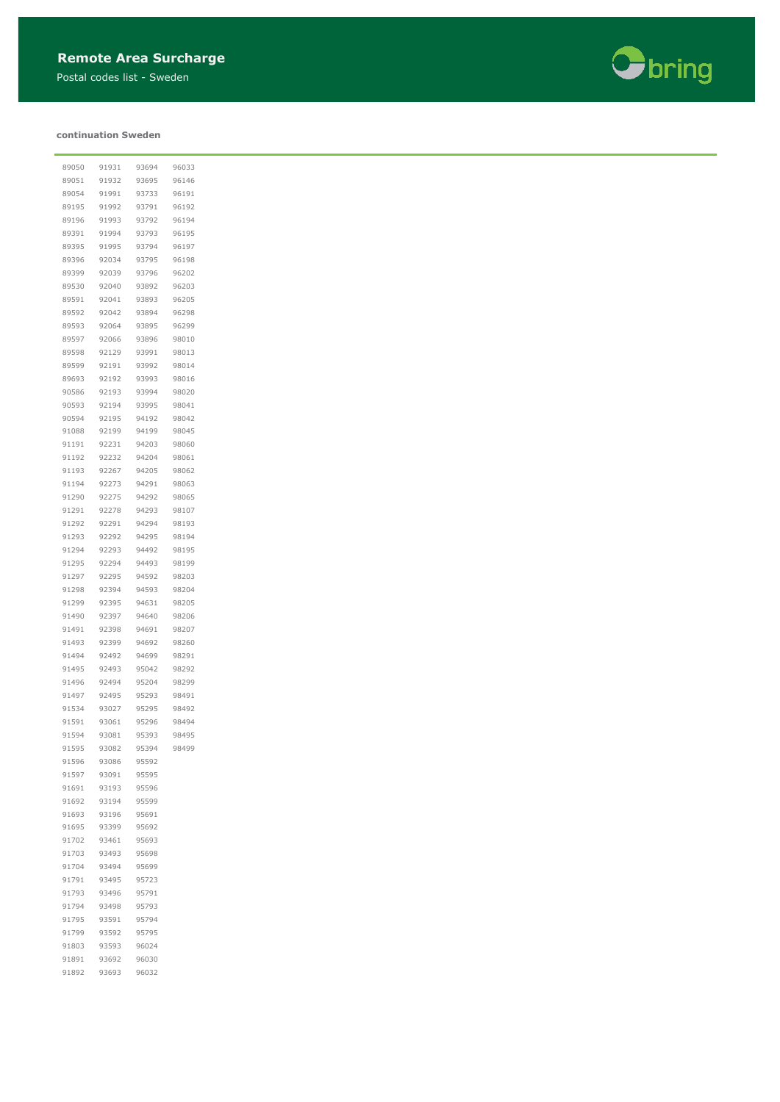Postal codes list - Sweden

#### **continuation Sweden**

 93593 96024 93692 96030 93693 96032



| 89050 | 91931 | 93694 | 96033 |
|-------|-------|-------|-------|
| 89051 | 91932 | 93695 | 96146 |
| 89054 | 91991 | 93733 | 96191 |
| 89195 | 91992 | 93791 | 96192 |
| 89196 | 91993 | 93792 | 96194 |
| 89391 | 91994 | 93793 | 96195 |
| 89395 | 91995 | 93794 | 96197 |
|       |       |       |       |
| 89396 | 92034 | 93795 | 96198 |
| 89399 | 92039 | 93796 | 96202 |
| 89530 | 92040 | 93892 | 96203 |
| 89591 | 92041 | 93893 | 96205 |
| 89592 | 92042 | 93894 | 96298 |
| 89593 | 92064 | 93895 | 96299 |
| 89597 | 92066 | 93896 | 98010 |
| 89598 | 92129 | 93991 | 98013 |
| 89599 | 92191 | 93992 | 98014 |
| 89693 | 92192 | 93993 | 98016 |
| 90586 | 92193 | 93994 | 98020 |
| 90593 | 92194 | 93995 |       |
|       |       |       | 98041 |
| 90594 | 92195 | 94192 | 98042 |
| 91088 | 92199 | 94199 | 98045 |
| 91191 | 92231 | 94203 | 98060 |
| 91192 | 92232 | 94204 | 98061 |
| 91193 | 92267 | 94205 | 98062 |
| 91194 | 92273 | 94291 | 98063 |
| 91290 | 92275 | 94292 | 98065 |
| 91291 | 92278 | 94293 | 98107 |
| 91292 | 92291 | 94294 | 98193 |
| 91293 | 92292 | 94295 | 98194 |
| 91294 | 92293 | 94492 | 98195 |
|       |       |       |       |
| 91295 | 92294 | 94493 | 98199 |
| 91297 | 92295 | 94592 | 98203 |
| 91298 | 92394 | 94593 | 98204 |
| 91299 | 92395 | 94631 | 98205 |
| 91490 | 92397 | 94640 | 98206 |
| 91491 | 92398 | 94691 | 98207 |
| 91493 | 92399 | 94692 | 98260 |
| 91494 | 92492 | 94699 | 98291 |
| 91495 | 92493 | 95042 | 98292 |
| 91496 | 92494 | 95204 | 98299 |
|       |       |       |       |
| 91497 | 92495 | 95293 | 98491 |
| 91534 | 93027 | 95295 | 98492 |
| 91591 | 93061 | 95296 | 98494 |
| 91594 | 93081 | 95393 | 98495 |
| 91595 | 93082 | 95394 | 98499 |
| 91596 | 93086 | 95592 |       |
| 91597 | 93091 | 95595 |       |
| 91691 | 93193 | 95596 |       |
| 91692 | 93194 | 95599 |       |
| 91693 | 93196 | 95691 |       |
| 91695 | 93399 | 95692 |       |
|       |       |       |       |
| 91702 | 93461 | 95693 |       |
| 91703 | 93493 | 95698 |       |
| 91704 | 93494 | 95699 |       |
| 91791 | 93495 | 95723 |       |
| 91793 | 93496 | 95791 |       |
| 91794 | 93498 | 95793 |       |
| 91795 | 93591 | 95794 |       |
| 91799 | 93592 | 95795 |       |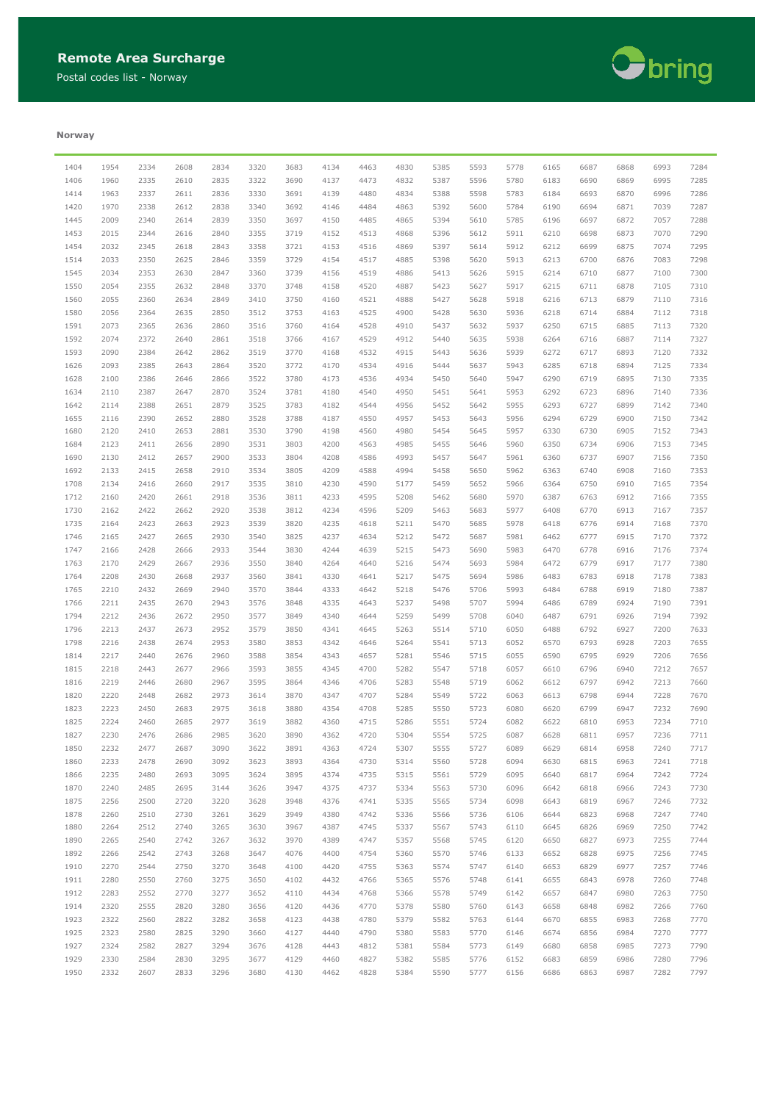Postal codes list - Norway



#### **Norway**

| 1404 | 1954 | 2334 | 2608 | 2834 | 3320 | 3683 | 4134 | 4463 | 4830 | 5385 | 5593 | 5778 | 6165 | 6687 | 6868 | 6993 | 7284 |
|------|------|------|------|------|------|------|------|------|------|------|------|------|------|------|------|------|------|
| 1406 | 1960 | 2335 | 2610 | 2835 | 3322 | 3690 | 4137 | 4473 | 4832 | 5387 | 5596 | 5780 | 6183 | 6690 | 6869 | 6995 | 7285 |
| 1414 | 1963 | 2337 | 2611 | 2836 | 3330 | 3691 | 4139 | 4480 | 4834 | 5388 | 5598 | 5783 | 6184 | 6693 | 6870 | 6996 | 7286 |
| 1420 | 1970 | 2338 | 2612 | 2838 | 3340 | 3692 | 4146 | 4484 | 4863 | 5392 | 5600 | 5784 | 6190 | 6694 | 6871 | 7039 | 7287 |
| 1445 | 2009 | 2340 | 2614 | 2839 | 3350 | 3697 | 4150 | 4485 | 4865 | 5394 | 5610 | 5785 | 6196 | 6697 | 6872 | 7057 | 7288 |
| 1453 | 2015 | 2344 | 2616 | 2840 | 3355 | 3719 | 4152 | 4513 | 4868 | 5396 | 5612 | 5911 | 6210 | 6698 | 6873 | 7070 | 7290 |
| 1454 | 2032 | 2345 | 2618 | 2843 | 3358 | 3721 | 4153 | 4516 | 4869 | 5397 | 5614 | 5912 | 6212 | 6699 | 6875 | 7074 | 7295 |
|      |      |      |      |      |      |      |      |      |      |      |      |      |      |      |      |      |      |
| 1514 | 2033 | 2350 | 2625 | 2846 | 3359 | 3729 | 4154 | 4517 | 4885 | 5398 | 5620 | 5913 | 6213 | 6700 | 6876 | 7083 | 7298 |
| 1545 | 2034 | 2353 | 2630 | 2847 | 3360 | 3739 | 4156 | 4519 | 4886 | 5413 | 5626 | 5915 | 6214 | 6710 | 6877 | 7100 | 7300 |
| 1550 | 2054 | 2355 | 2632 | 2848 | 3370 | 3748 | 4158 | 4520 | 4887 | 5423 | 5627 | 5917 | 6215 | 6711 | 6878 | 7105 | 7310 |
| 1560 | 2055 | 2360 | 2634 | 2849 | 3410 | 3750 | 4160 | 4521 | 4888 | 5427 | 5628 | 5918 | 6216 | 6713 | 6879 | 7110 | 7316 |
| 1580 | 2056 | 2364 | 2635 | 2850 | 3512 | 3753 | 4163 | 4525 | 4900 | 5428 | 5630 | 5936 | 6218 | 6714 | 6884 | 7112 | 7318 |
| 1591 | 2073 | 2365 | 2636 | 2860 | 3516 | 3760 | 4164 | 4528 | 4910 | 5437 | 5632 | 5937 | 6250 | 6715 | 6885 | 7113 | 7320 |
| 1592 | 2074 | 2372 | 2640 | 2861 | 3518 | 3766 | 4167 | 4529 | 4912 | 5440 | 5635 | 5938 | 6264 | 6716 | 6887 | 7114 | 7327 |
| 1593 | 2090 | 2384 | 2642 | 2862 | 3519 | 3770 | 4168 | 4532 | 4915 | 5443 | 5636 | 5939 | 6272 | 6717 | 6893 | 7120 | 7332 |
| 1626 | 2093 | 2385 | 2643 | 2864 | 3520 | 3772 | 4170 | 4534 | 4916 | 5444 | 5637 | 5943 | 6285 | 6718 | 6894 | 7125 | 7334 |
| 1628 | 2100 | 2386 | 2646 | 2866 | 3522 | 3780 | 4173 | 4536 | 4934 | 5450 | 5640 | 5947 | 6290 | 6719 | 6895 | 7130 | 7335 |
|      |      |      |      |      |      |      |      |      |      |      |      |      |      |      |      |      |      |
| 1634 | 2110 | 2387 | 2647 | 2870 | 3524 | 3781 | 4180 | 4540 | 4950 | 5451 | 5641 | 5953 | 6292 | 6723 | 6896 | 7140 | 7336 |
| 1642 | 2114 | 2388 | 2651 | 2879 | 3525 | 3783 | 4182 | 4544 | 4956 | 5452 | 5642 | 5955 | 6293 | 6727 | 6899 | 7142 | 7340 |
| 1655 | 2116 | 2390 | 2652 | 2880 | 3528 | 3788 | 4187 | 4550 | 4957 | 5453 | 5643 | 5956 | 6294 | 6729 | 6900 | 7150 | 7342 |
| 1680 | 2120 | 2410 | 2653 | 2881 | 3530 | 3790 | 4198 | 4560 | 4980 | 5454 | 5645 | 5957 | 6330 | 6730 | 6905 | 7152 | 7343 |
| 1684 | 2123 | 2411 | 2656 | 2890 | 3531 | 3803 | 4200 | 4563 | 4985 | 5455 | 5646 | 5960 | 6350 | 6734 | 6906 | 7153 | 7345 |
| 1690 | 2130 | 2412 | 2657 | 2900 | 3533 | 3804 | 4208 | 4586 | 4993 | 5457 | 5647 | 5961 | 6360 | 6737 | 6907 | 7156 | 7350 |
| 1692 | 2133 | 2415 | 2658 | 2910 | 3534 | 3805 | 4209 | 4588 | 4994 | 5458 | 5650 | 5962 | 6363 | 6740 | 6908 | 7160 | 7353 |
| 1708 | 2134 | 2416 | 2660 | 2917 | 3535 | 3810 | 4230 | 4590 | 5177 | 5459 | 5652 | 5966 | 6364 | 6750 | 6910 | 7165 | 7354 |
| 1712 | 2160 | 2420 | 2661 | 2918 | 3536 | 3811 | 4233 | 4595 | 5208 | 5462 | 5680 | 5970 | 6387 | 6763 | 6912 | 7166 | 7355 |
| 1730 | 2162 | 2422 | 2662 | 2920 | 3538 | 3812 | 4234 | 4596 | 5209 | 5463 | 5683 | 5977 | 6408 | 6770 | 6913 | 7167 | 7357 |
|      |      |      |      |      |      |      |      |      |      |      |      |      |      |      |      |      |      |
| 1735 | 2164 | 2423 | 2663 | 2923 | 3539 | 3820 | 4235 | 4618 | 5211 | 5470 | 5685 | 5978 | 6418 | 6776 | 6914 | 7168 | 7370 |
| 1746 | 2165 | 2427 | 2665 | 2930 | 3540 | 3825 | 4237 | 4634 | 5212 | 5472 | 5687 | 5981 | 6462 | 6777 | 6915 | 7170 | 7372 |
| 1747 | 2166 | 2428 | 2666 | 2933 | 3544 | 3830 | 4244 | 4639 | 5215 | 5473 | 5690 | 5983 | 6470 | 6778 | 6916 | 7176 | 7374 |
| 1763 | 2170 | 2429 | 2667 | 2936 | 3550 | 3840 | 4264 | 4640 | 5216 | 5474 | 5693 | 5984 | 6472 | 6779 | 6917 | 7177 | 7380 |
| 1764 | 2208 | 2430 | 2668 | 2937 | 3560 | 3841 | 4330 | 4641 | 5217 | 5475 | 5694 | 5986 | 6483 | 6783 | 6918 | 7178 | 7383 |
| 1765 | 2210 | 2432 | 2669 | 2940 | 3570 | 3844 | 4333 | 4642 | 5218 | 5476 | 5706 | 5993 | 6484 | 6788 | 6919 | 7180 | 7387 |
| 1766 | 2211 | 2435 | 2670 | 2943 | 3576 | 3848 | 4335 | 4643 | 5237 | 5498 | 5707 | 5994 | 6486 | 6789 | 6924 | 7190 | 7391 |
| 1794 | 2212 | 2436 | 2672 | 2950 | 3577 | 3849 | 4340 | 4644 | 5259 | 5499 | 5708 | 6040 | 6487 | 6791 | 6926 | 7194 | 7392 |
| 1796 | 2213 | 2437 | 2673 | 2952 | 3579 | 3850 | 4341 | 4645 | 5263 | 5514 | 5710 | 6050 | 6488 | 6792 | 6927 | 7200 | 7633 |
| 1798 | 2216 | 2438 | 2674 | 2953 | 3580 | 3853 | 4342 | 4646 | 5264 | 5541 | 5713 | 6052 | 6570 | 6793 | 6928 | 7203 | 7655 |
| 1814 | 2217 | 2440 | 2676 | 2960 | 3588 | 3854 | 4343 | 4657 | 5281 | 5546 | 5715 | 6055 | 6590 | 6795 | 6929 | 7206 | 7656 |
|      |      |      |      |      |      |      |      |      |      |      |      |      |      |      |      |      |      |
| 1815 | 2218 | 2443 | 2677 | 2966 | 3593 | 3855 | 4345 | 4700 | 5282 | 5547 | 5718 | 6057 | 6610 | 6796 | 6940 | 7212 | 7657 |
| 1816 | 2219 | 2446 | 2680 | 2967 | 3595 | 3864 | 4346 | 4706 | 5283 | 5548 | 5719 | 6062 | 6612 | 6797 | 6942 | 7213 | 7660 |
| 1820 | 2220 | 2448 | 2682 | 2973 | 3614 | 3870 | 4347 | 4707 | 5284 | 5549 | 5722 | 6063 | 6613 | 6798 | 6944 | 7228 | 7670 |
| 1823 | 2223 | 2450 | 2683 | 2975 | 3618 | 3880 | 4354 | 4708 | 5285 | 5550 | 5723 | 6080 | 6620 | 6799 | 6947 | 7232 | 7690 |
| 1825 | 2224 | 2460 | 2685 | 2977 | 3619 | 3882 | 4360 | 4715 | 5286 | 5551 | 5724 | 6082 | 6622 | 6810 | 6953 | 7234 | 7710 |
| 1827 | 2230 | 2476 | 2686 | 2985 | 3620 | 3890 | 4362 | 4720 | 5304 | 5554 | 5725 | 6087 | 6628 | 6811 | 6957 | 7236 | 7711 |
| 1850 | 2232 | 2477 | 2687 | 3090 | 3622 | 3891 | 4363 | 4724 | 5307 | 5555 | 5727 | 6089 | 6629 | 6814 | 6958 | 7240 | 7717 |
| 1860 | 2233 | 2478 | 2690 | 3092 | 3623 | 3893 | 4364 | 4730 | 5314 | 5560 | 5728 | 6094 | 6630 | 6815 | 6963 | 7241 | 7718 |
| 1866 | 2235 | 2480 | 2693 | 3095 | 3624 | 3895 | 4374 | 4735 | 5315 | 5561 | 5729 | 6095 | 6640 | 6817 | 6964 | 7242 | 7724 |
| 1870 | 2240 | 2485 | 2695 | 3144 | 3626 | 3947 | 4375 | 4737 | 5334 | 5563 | 5730 | 6096 | 6642 | 6818 | 6966 | 7243 | 7730 |
|      |      |      |      |      |      |      |      |      |      |      |      |      |      |      |      |      |      |
| 1875 | 2256 | 2500 | 2720 | 3220 | 3628 | 3948 | 4376 | 4741 | 5335 | 5565 | 5734 | 6098 | 6643 | 6819 | 6967 | 7246 | 7732 |
| 1878 | 2260 | 2510 | 2730 | 3261 | 3629 | 3949 | 4380 | 4742 | 5336 | 5566 | 5736 | 6106 | 6644 | 6823 | 6968 | 7247 | 7740 |
| 1880 | 2264 | 2512 | 2740 | 3265 | 3630 | 3967 | 4387 | 4745 | 5337 | 5567 | 5743 | 6110 | 6645 | 6826 | 6969 | 7250 | 7742 |
| 1890 | 2265 | 2540 | 2742 | 3267 | 3632 | 3970 | 4389 | 4747 | 5357 | 5568 | 5745 | 6120 | 6650 | 6827 | 6973 | 7255 | 7744 |
| 1892 | 2266 | 2542 | 2743 | 3268 | 3647 | 4076 | 4400 | 4754 | 5360 | 5570 | 5746 | 6133 | 6652 | 6828 | 6975 | 7256 | 7745 |
| 1910 | 2270 | 2544 | 2750 | 3270 | 3648 | 4100 | 4420 | 4755 | 5363 | 5574 | 5747 | 6140 | 6653 | 6829 | 6977 | 7257 | 7746 |
| 1911 | 2280 | 2550 | 2760 | 3275 | 3650 | 4102 | 4432 | 4766 | 5365 | 5576 | 5748 | 6141 | 6655 | 6843 | 6978 | 7260 | 7748 |
| 1912 | 2283 | 2552 | 2770 | 3277 | 3652 | 4110 | 4434 | 4768 | 5366 | 5578 | 5749 | 6142 | 6657 | 6847 | 6980 | 7263 | 7750 |
| 1914 | 2320 | 2555 | 2820 | 3280 | 3656 | 4120 | 4436 | 4770 | 5378 | 5580 | 5760 | 6143 | 6658 | 6848 | 6982 | 7266 | 7760 |
| 1923 | 2322 | 2560 | 2822 | 3282 | 3658 | 4123 | 4438 | 4780 | 5379 | 5582 | 5763 | 6144 | 6670 | 6855 | 6983 | 7268 | 7770 |
| 1925 | 2323 | 2580 | 2825 | 3290 | 3660 | 4127 | 4440 | 4790 | 5380 | 5583 | 5770 | 6146 | 6674 | 6856 | 6984 | 7270 | 7777 |
|      |      |      |      |      |      |      |      |      |      |      |      |      |      |      |      |      |      |
| 1927 | 2324 | 2582 | 2827 | 3294 | 3676 | 4128 | 4443 | 4812 | 5381 | 5584 | 5773 | 6149 | 6680 | 6858 | 6985 | 7273 | 7790 |
| 1929 | 2330 | 2584 | 2830 | 3295 | 3677 | 4129 | 4460 | 4827 | 5382 | 5585 | 5776 | 6152 | 6683 | 6859 | 6986 | 7280 | 7796 |
| 1950 | 2332 | 2607 | 2833 | 3296 | 3680 | 4130 | 4462 | 4828 | 5384 | 5590 | 5777 | 6156 | 6686 | 6863 | 6987 | 7282 | 7797 |